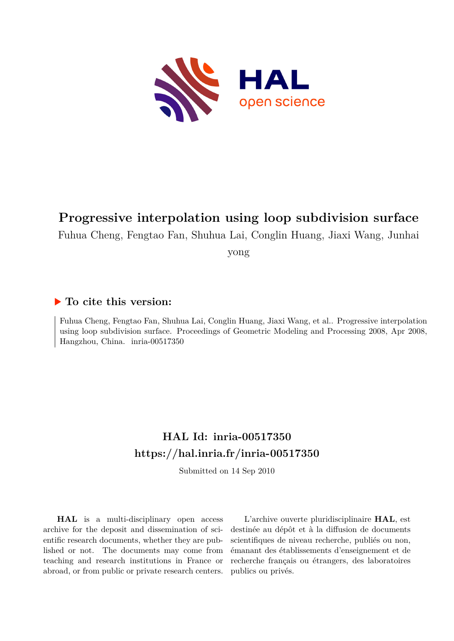

# **Progressive interpolation using loop subdivision surface**

Fuhua Cheng, Fengtao Fan, Shuhua Lai, Conglin Huang, Jiaxi Wang, Junhai

yong

### **To cite this version:**

Fuhua Cheng, Fengtao Fan, Shuhua Lai, Conglin Huang, Jiaxi Wang, et al.. Progressive interpolation using loop subdivision surface. Proceedings of Geometric Modeling and Processing 2008, Apr 2008, Hangzhou, China. inria-00517350

# **HAL Id: inria-00517350 <https://hal.inria.fr/inria-00517350>**

Submitted on 14 Sep 2010

**HAL** is a multi-disciplinary open access archive for the deposit and dissemination of scientific research documents, whether they are published or not. The documents may come from teaching and research institutions in France or abroad, or from public or private research centers.

L'archive ouverte pluridisciplinaire **HAL**, est destinée au dépôt et à la diffusion de documents scientifiques de niveau recherche, publiés ou non, émanant des établissements d'enseignement et de recherche français ou étrangers, des laboratoires publics ou privés.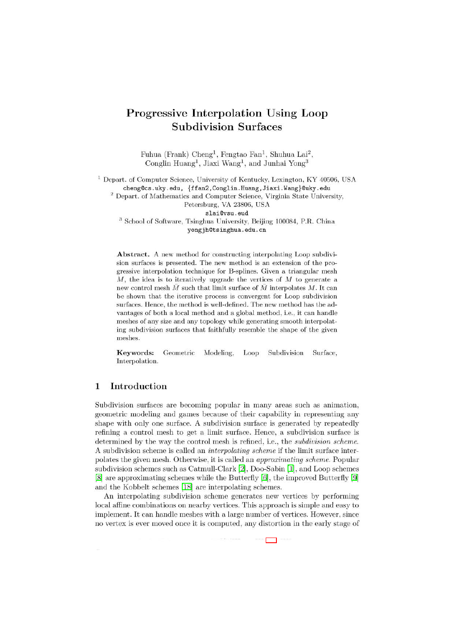## **Progressive Interpolation Using Loop Subdivision Surfaces**

Fuhua (Frank) Cheng<sup>1</sup>, Fengtao Fan<sup>1</sup>, Shuhua Lai<sup>2</sup>, Conglin Huang<sup>1</sup>, Jiaxi Wang<sup>1</sup>, and Junhai Yong<sup>3</sup>

<sup>1</sup> Depart. of Computer Science, University of Kentucky, Lexington, KY 40506, USA cheng@cs.uky.edu, {ffan2, Conglin.Huang, Jiaxi.Wang}@uky.edu <sup>2</sup> Depart. of Mathematics and Computer Science, Virginia State University,

Petersburg, VA 23806, USA

slai@vsu.eud

 $^3$  School of Software, Tsinghua University, Beijing 100084, P.R. China yongjh@tsinghua.edu.cn

Abstract. A new method for constructing interpolating Loop subdivision surfaces is presented. The new method is an extension of the progressive interpolation technique for B-splines. Given a triangular mesh  $M$ , the idea is to iteratively upgrade the vertices of  $M$  to generate a new control mesh  $\bar{M}$  such that limit surface of  $\bar{M}$  interpolates  $M$ . It can be shown that the iterative process is convergent for Loop subdivision surfaces. Hence, the method is well-defined. The new method has the advantages of both a local method and a global method, i.e., it can handle meshes of any size and any topology while generating smooth interpolating subdivision surfaces that faithfully resemble the shape of the given meshes.

Keywords: Geometric Modeling, Loop Subdivision Surface. Interpolation.

#### 1 Introduction

Subdivision surfaces are becoming popular in many areas such as animation, geometric modeling and games because of their capability in representing any shape with only one surface. A subdivision surface is generated by repeatedly refining a control mesh to get a limit surface. Hence, a subdivision surface is determined by the way the control mesh is refined, i.e., the *subdivision scheme*. A subdivision scheme is called an *interpolating scheme* if the limit surface interpolates the given mesh. Otherwise, it is called an *approximating scheme*. Popular subdivision schemes such as Catmull-Clark [2], Doo-Sabin [1], and Loop schemes [8] are approximating schemes while the Butterfly [6], the improved Butterfly [9] and the Kobbelt schemes [18] are interpolating schemes.

An interpolating subdivision scheme generates new vertices by performing local affine combinations on nearby vertices. This approach is simple and easy to implement. It can handle meshes with a large number of vertices. However, since no vertex is ever moved once it is computed, any distortion in the early stage of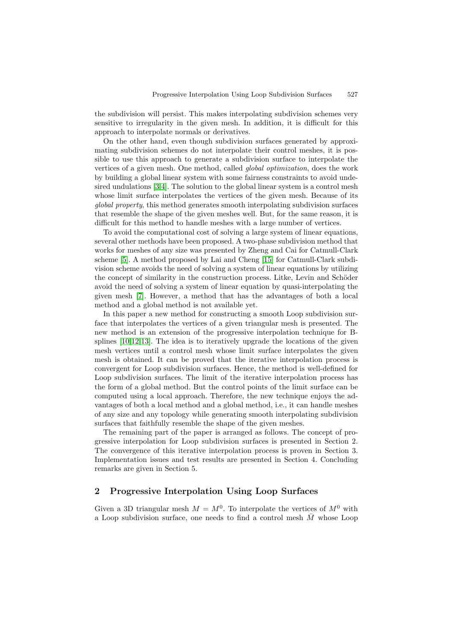the subdivision will persist. This makes interpolating subdivision schemes very sensitive to irregularity in the given mesh. In addition, it is difficult for this approach to interpolate normals or derivatives.

On the other hand, even though subdivision surfaces generated by approximating subdivision schemes do not interpolate their control meshes, it is possible to use this approach to generate a subdivision surface to interpolate the vertices of a given mesh. One method, called global optimization, does the work by building a global linear system with some fairness constraints to avoid undesired undulations [3,4]. The solution to the global linear system is a control mesh whose limit surface interpolates the vertices of the given mesh. Because of its *alobal property*, this method generates smooth interpolating subdivision surfaces that resemble the shape of the given meshes well. But, for the same reason, it is difficult for this method to handle meshes with a large number of vertices.

To avoid the computational cost of solving a large system of linear equations, several other methods have been proposed. A two-phase subdivision method that works for meshes of any size was presented by Zheng and Cai for Catmull-Clark scheme [5]. A method proposed by Lai and Cheng [15] for Catmull-Clark subdivision scheme avoids the need of solving a system of linear equations by utilizing the concept of similarity in the construction process. Litke, Levin and Schöder avoid the need of solving a system of linear equation by quasi-interpolating the given mesh [7]. However, a method that has the advantages of both a local method and a global method is not available yet.

In this paper a new method for constructing a smooth Loop subdivision surface that interpolates the vertices of a given triangular mesh is presented. The new method is an extension of the progressive interpolation technique for Bsplines  $[10,12,13]$ . The idea is to iteratively upgrade the locations of the given mesh vertices until a control mesh whose limit surface interpolates the given mesh is obtained. It can be proved that the iterative interpolation process is convergent for Loop subdivision surfaces. Hence, the method is well-defined for Loop subdivision surfaces. The limit of the iterative interpolation process has the form of a global method. But the control points of the limit surface can be computed using a local approach. Therefore, the new technique enjoys the advantages of both a local method and a global method, i.e., it can handle meshes of any size and any topology while generating smooth interpolating subdivision surfaces that faithfully resemble the shape of the given meshes.

The remaining part of the paper is arranged as follows. The concept of progressive interpolation for Loop subdivision surfaces is presented in Section 2. The convergence of this iterative interpolation process is proven in Section 3. Implementation issues and test results are presented in Section 4. Concluding remarks are given in Section 5.

#### **2 Progressive Interpolation Using Loop Surfaces**

Given a 3D triangular mesh  $M = M^{0}$ . To interpolate the vertices of  $M^{0}$  with a Loop subdivision surface, one needs to find a control mesh  $M$  whose Loop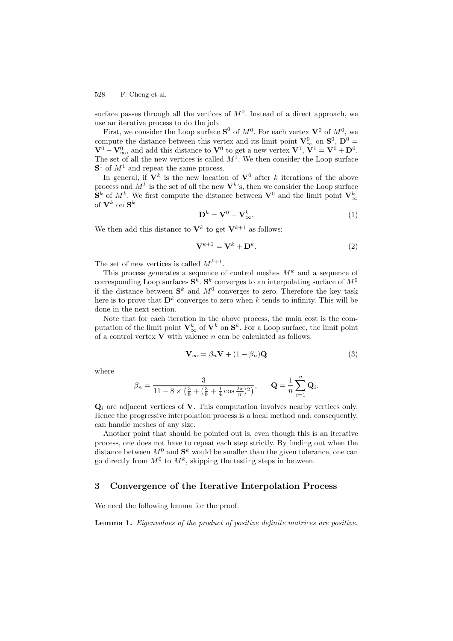528 F. Cheng et al.

surface passes through all the vertices of  $M<sup>0</sup>$ . Instead of a direct approach, we use an iterative process to do the job.

First, we consider the Loop surface  $S^0$  of  $M^0$ . For each vertex  $V^0$  of  $M^0$ , we compute the distance between this vertex and its limit point  $\mathbf{V}_{\infty}^{0}$  on  $\mathbf{S}^{0}$ ,  $\mathbf{D}^{0} = \mathbf{V}_{\infty}^{0}$  $\mathbf{V}^0 - \mathbf{V}^0_{\infty}$ , and add this distance to  $\mathbf{V}^0$  to get a new vertex  $\mathbf{V}^1$ ,  $\mathbf{V}^1 = \mathbf{V}^0 + \mathbf{D}^0$ . The set of all the new vertices is called  $M^1$ . We then consider the Loop surface  $S<sup>1</sup>$  of  $M<sup>1</sup>$  and repeat the same process.

In general, if  $\mathbf{V}^k$  is the new location of  $\mathbf{V}^0$  after k iterations of the above process and  $M^k$  is the set of all the new  $V^k$ 's, then we consider the Loop surface  $\mathbf{S}^k$  of  $M^k$ . We first compute the distance between  $\mathbf{V}^0$  and the limit point  $\mathbf{V}^k_{\infty}$ of  $V^k$  on  $S^k$ 

$$
\mathbf{D}^k = \mathbf{V}^0 - \mathbf{V}_{\infty}^k. \tag{1}
$$

We then add this distance to  $V^k$  to get  $V^{k+1}$  as follows:

$$
\mathbf{V}^{k+1} = \mathbf{V}^k + \mathbf{D}^k. \tag{2}
$$

The set of new vertices is called  $M^{k+1}$ .

This process generates a sequence of control meshes  $M^k$  and a sequence of corresponding Loop surfaces  $S^k$ .  $S^k$  converges to an interpolating surface of  $M^0$ if the distance between  $S^k$  and  $M^0$  converges to zero. Therefore the key task here is to prove that  $\mathbf{D}^k$  converges to zero when k tends to infinity. This will be done in the next section.

Note that for each iteration in the above process, the main cost is the computation of the limit point  $\mathbf{V}_{\infty}^{k}$  of  $\mathbf{V}^{k}$  on  $\mathbf{S}^{k}$ . For a Loop surface, the limit point of a control vertex  $V$  with valence  $n$  can be calculated as follows:

$$
\mathbf{V}_{\infty} = \beta_n \mathbf{V} + (1 - \beta_n) \mathbf{Q} \tag{3}
$$

where

$$
\beta_n = \frac{3}{11 - 8 \times \left(\frac{3}{8} + \left(\frac{3}{8} + \frac{1}{4} \cos \frac{2\pi}{n}\right)^2\right)}, \qquad \mathbf{Q} = \frac{1}{n} \sum_{i=1}^n \mathbf{Q}_i.
$$

**Q**<sup>i</sup> are adjacent vertices of **V**. This computation involves nearby vertices only. Hence the progressive interpolation process is a local method and, consequently, can handle meshes of any size.

Another point that should be pointed out is, even though this is an iterative process, one does not have to repeat each step strictly. By finding out when the distance between  $M^0$  and  $S^k$  would be smaller than the given tolerance, one can go directly from  $M^0$  to  $M^k$ , skipping the testing steps in between.

#### **3 Convergence of the Iterative Interpolation Process**

We need the following lemma for the proof.

**Lemma 1.** Eigenvalues of the product of positive definite matrices are positive.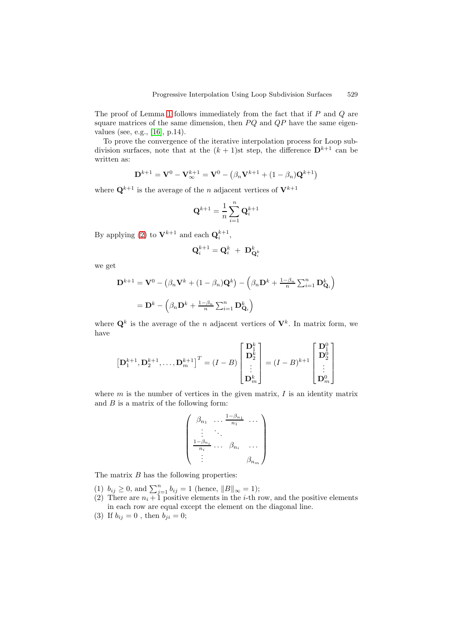The proof of Lemma 1 follows immediately from the fact that if  $P$  and  $Q$  are square matrices of the same dimension, then  $PQ$  and  $QP$  have the same eigenvalues (see, e.g., [16], p.14).

To prove the convergence of the iterative interpolation process for Loop subdivision surfaces, note that at the  $(k + 1)$ st step, the difference  $\mathbf{D}^{k+1}$  can be written as:

$$
\mathbf{D}^{k+1} = \mathbf{V}^0 - \mathbf{V}_{\infty}^{k+1} = \mathbf{V}^0 - (\beta_n \mathbf{V}^{k+1} + (1 - \beta_n) \mathbf{Q}^{k+1})
$$

where  $\mathbf{Q}^{k+1}$  is the average of the *n* adjacent vertices of  $\mathbf{V}^{k+1}$ 

$$
\mathbf{Q}^{k+1} = \frac{1}{n} \sum_{i=1}^n \mathbf{Q}_i^{k+1}
$$

By applying (2) to  $V^{k+1}$  and each  $Q_i^{k+1}$ ,

$$
\mathbf{Q}_i^{k+1} = \mathbf{Q}_i^k \ + \ \mathbf{D}_{\mathbf{Q}_i^k}^k
$$

we get

$$
\mathbf{D}^{k+1} = \mathbf{V}^0 - \left(\beta_n \mathbf{V}^k + (1 - \beta_n) \mathbf{Q}^k\right) - \left(\beta_n \mathbf{D}^k + \frac{1 - \beta_n}{n} \sum_{i=1}^n \mathbf{D}_{\mathbf{Q}_i}^k\right)
$$

$$
= \mathbf{D}^k - \left(\beta_n \mathbf{D}^k + \frac{1 - \beta_n}{n} \sum_{i=1}^n \mathbf{D}_{\mathbf{Q}_i}^k\right)
$$

where  $\mathbf{Q}^k$  is the average of the n adjacent vertices of  $\mathbf{V}^k$ . In matrix form, we have

$$
\left[\mathbf{D}_{1}^{k+1},\mathbf{D}_{2}^{k+1},\ldots,\mathbf{D}_{m}^{k+1}\right]^{T} = (I-B)\begin{bmatrix} \mathbf{D}_{1}^{k} \\ \mathbf{D}_{2}^{k} \\ \vdots \\ \mathbf{D}_{m}^{k} \end{bmatrix} = (I-B)^{k+1} \begin{bmatrix} \mathbf{D}_{1}^{0} \\ \mathbf{D}_{2}^{0} \\ \vdots \\ \mathbf{D}_{m}^{0} \end{bmatrix}
$$

where  $m$  is the number of vertices in the given matrix,  $I$  is an identity matrix and  $B$  is a matrix of the following form:

$$
\begin{pmatrix}\n\beta_{n_1} & \dots & \frac{1-\beta_{n_1}}{n_1} & \dots \\
\vdots & \ddots & \vdots \\
\frac{1-\beta_{n_i}}{n_i} & \dots & \beta_{n_i} & \dots \\
\vdots & \vdots & \vdots \\
\beta_{n_m}\n\end{pmatrix}
$$

The matrix  $B$  has the following properties:

- (1)  $b_{ij} \ge 0$ , and  $\sum_{j=1}^{n} b_{ij} = 1$  (hence,  $||B||_{\infty} = 1$ );
- (2) There are  $n_i + 1$  positive elements in the *i*-th row, and the positive elements in each row are equal except the element on the diagonal line.
- (3) If  $b_{ij} = 0$ , then  $b_{ji} = 0$ ;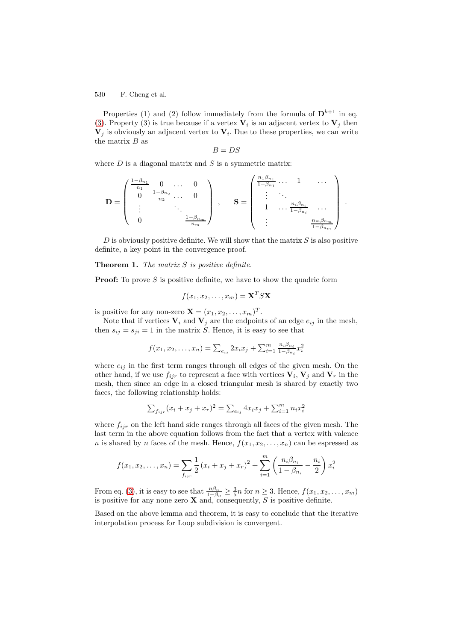530 F. Cheng et al.

Properties (1) and (2) follow immediately from the formula of  $\mathbf{D}^{k+1}$  in eq. (3). Property (3) is true because if a vertex  $V_i$  is an adjacent vertex to  $V_j$  then  $\mathbf{V}_j$  is obviously an adjacent vertex to  $\mathbf{V}_i$ . Due to these properties, we can write the matrix  $B$  as

$$
B=DS
$$

where  $D$  is a diagonal matrix and  $S$  is a symmetric matrix:

$$
\mathbf{D} = \begin{pmatrix} \frac{1-\beta_{n_1}}{n_1} & 0 & \cdots & 0 \\ 0 & \frac{1-\beta_{n_2}}{n_2} & \cdots & 0 \\ \vdots & & \ddots & \vdots \\ 0 & & & \frac{1-\beta_{n_m}}{n_m} \end{pmatrix} , \quad \mathbf{S} = \begin{pmatrix} \frac{n_1\beta_{n_1}}{1-\beta_{n_1}} & \cdots & 1 & \cdots \\ \vdots & & \ddots & \vdots \\ 1 & \cdots & \frac{n_i\beta_{n_i}}{1-\beta_{n_i}} & \cdots \\ \vdots & & & \frac{n_m\beta_{n_m}}{1-\beta_{n_m}} \end{pmatrix}
$$

.

 $D$  is obviously positive definite. We will show that the matrix  $S$  is also positive definite, a key point in the convergence proof.

#### **Theorem 1.** The matrix S is positive definite.

**Proof:** To prove S is positive definite, we have to show the quadric form

$$
f(x_1, x_2, \dots, x_m) = \mathbf{X}^T S \mathbf{X}
$$

is positive for any non-zero  $\mathbf{X} = (x_1, x_2, \dots, x_m)^T$ .

Note that if vertices  $V_i$  and  $V_j$  are the endpoints of an edge  $e_{ij}$  in the mesh, then  $s_{ij} = s_{ji} = 1$  in the matrix S. Hence, it is easy to see that

$$
f(x_1, x_2, \dots, x_n) = \sum_{e_{ij}} 2x_i x_j + \sum_{i=1}^m \frac{n_i \beta_{n_i}}{1 - \beta_{n_i}} x_i^2
$$

where  $e_{ij}$  in the first term ranges through all edges of the given mesh. On the other hand, if we use  $f_{ijr}$  to represent a face with vertices  $V_i$ ,  $V_j$  and  $V_r$  in the mesh, then since an edge in a closed triangular mesh is shared by exactly two faces, the following relationship holds:

$$
\sum_{f_{ijr}} (x_i + x_j + x_r)^2 = \sum_{e_{ij}} 4x_i x_j + \sum_{i=1}^m n_i x_i^2
$$

where  $f_{ijr}$  on the left hand side ranges through all faces of the given mesh. The last term in the above equation follows from the fact that a vertex with valence n is shared by n faces of the mesh. Hence,  $f(x_1, x_2, \ldots, x_n)$  can be espressed as

$$
f(x_1, x_2,..., x_n) = \sum_{f_{ijr}} \frac{1}{2} (x_i + x_j + x_r)^2 + \sum_{i=1}^m \left( \frac{n_i \beta_{n_i}}{1 - \beta_{n_i}} - \frac{n_i}{2} \right) x_i^2
$$

From eq. (3), it is easy to see that  $\frac{n\beta_n}{1-\beta_n} \geq \frac{3}{5}n$  for  $n \geq 3$ . Hence,  $f(x_1, x_2, \ldots, x_m)$ is positive for any none zero **X** and, consequently, S is positive definite.

Based on the above lemma and theorem, it is easy to conclude that the iterative interpolation process for Loop subdivision is convergent.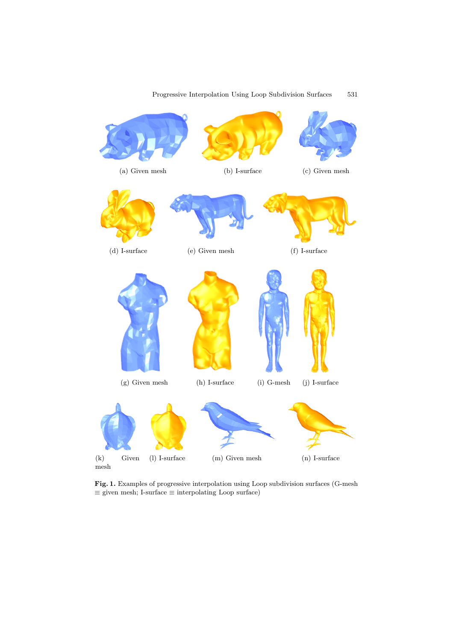

### Progressive Interpolation Using Loop Subdivision Surfaces 531

**Fig. 1.** Examples of progressive interpolation using Loop subdivision surfaces (G-mesh  $\equiv$  given mesh; I-surface  $\equiv$  interpolating Loop surface)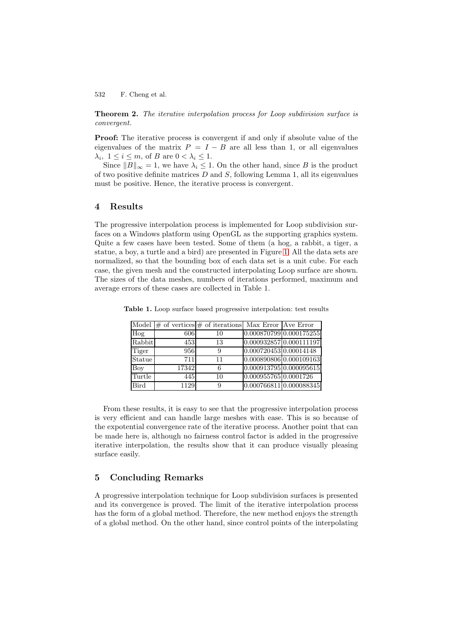532 F. Cheng et al.

**Theorem 2.** The iterative interpolation process for Loop subdivision surface is convergent.

**Proof:** The iterative process is convergent if and only if absolute value of the eigenvalues of the matrix  $P = I - B$  are all less than 1, or all eigenvalues  $\lambda_i, 1 \leq i \leq m$ , of B are  $0 < \lambda_i \leq 1$ .

Since  $||B||_{\infty} = 1$ , we have  $\lambda_i \leq 1$ . On the other hand, since B is the product of two positive definite matrices  $D$  and  $S$ , following Lemma 1, all its eigenvalues must be positive. Hence, the iterative process is convergent.

#### **4 Results**

The progressive interpolation process is implemented for Loop subdivision surfaces on a Windows platform using OpenGL as the supporting graphics system. Quite a few cases have been tested. Some of them (a hog, a rabbit, a tiger, a statue, a boy, a turtle and a bird) are presented in Figure 1. All the data sets are normalized, so that the bounding box of each data set is a unit cube. For each case, the given mesh and the constructed interpolating Loop surface are shown. The sizes of the data meshes, numbers of iterations performed, maximum and average errors of these cases are collected in Table 1.

|             |       | Model $\#$ of vertices $\#$ of iterations Max Error Ave Error |                         |                         |
|-------------|-------|---------------------------------------------------------------|-------------------------|-------------------------|
| Hog         | 606   | 10                                                            |                         | 0.000870799 0.000175255 |
| Rabbit      | 453   | 13                                                            | 0.000932857 0.000111197 |                         |
| Tiger       | 956   |                                                               | 0.000720453 0.00014148  |                         |
| Statue      | 711   | 11                                                            | 0.000890806 0.000109163 |                         |
| <b>Boy</b>  | 17342 | 6                                                             | 0.000913795 0.000095615 |                         |
| Turtle      | 445   | 10                                                            | 0.000955765 0.0001726   |                         |
| <b>Bird</b> | 1129  |                                                               | 0.000766811 0.000088345 |                         |

**Table 1.** Loop surface based progressive interpolation: test results

From these results, it is easy to see that the progressive interpolation process is very efficient and can handle large meshes with ease. This is so because of the expotential convergence rate of the iterative process. Another point that can be made here is, although no fairness control factor is added in the progressive iterative interpolation, the results show that it can produce visually pleasing surface easily.

#### **5 Concluding Remarks**

A progressive interpolation technique for Loop subdivision surfaces is presented and its convergence is proved. The limit of the iterative interpolation process has the form of a global method. Therefore, the new method enjoys the strength of a global method. On the other hand, since control points of the interpolating